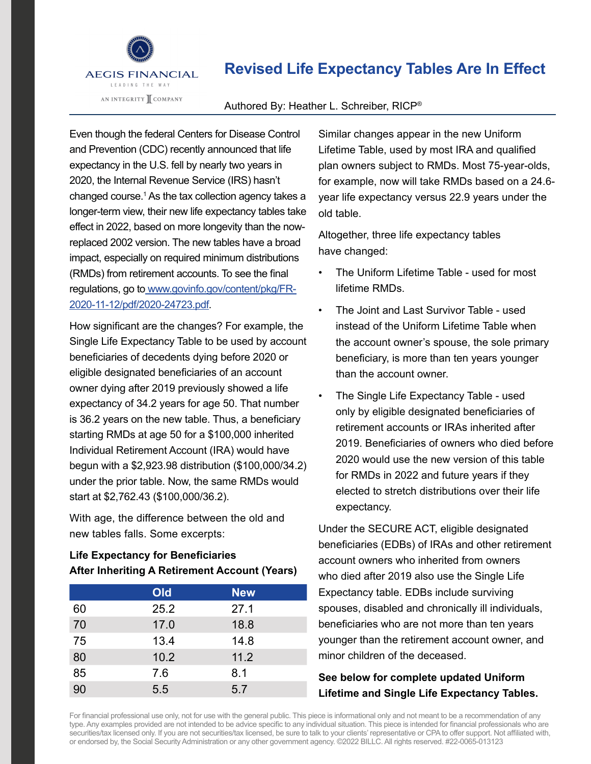

# **Revised Life Expectancy Tables Are In Effect**

### Authored By: Heather L. Schreiber, RICP®

Even though the federal Centers for Disease Control and Prevention (CDC) recently announced that life expectancy in the U.S. fell by nearly two years in 2020, the Internal Revenue Service (IRS) hasn't changed course.1 As the tax collection agency takes a longer-term view, their new life expectancy tables take effect in 2022, based on more longevity than the nowreplaced 2002 version. The new tables have a broad impact, especially on required minimum distributions (RMDs) from retirement accounts. To see the final regulations, go to www.govinfo.gov/content/pkg/FR-2020-11-12/pdf/2020-24723.pdf.

How significant are the changes? For example, the Single Life Expectancy Table to be used by account beneficiaries of decedents dying before 2020 or eligible designated beneficiaries of an account owner dying after 2019 previously showed a life expectancy of 34.2 years for age 50. That number is 36.2 years on the new table. Thus, a beneficiary starting RMDs at age 50 for a \$100,000 inherited Individual Retirement Account (IRA) would have begun with a \$2,923.98 distribution (\$100,000/34.2) under the prior table. Now, the same RMDs would start at \$2,762.43 (\$100,000/36.2).

With age, the difference between the old and new tables falls. Some excerpts:

### **Life Expectancy for Beneficiaries After Inheriting A Retirement Account (Years)**

|    | Old  | <b>New</b> |
|----|------|------------|
| 60 | 25.2 | 27.1       |
| 70 | 17.0 | 18.8       |
| 75 | 13.4 | 14.8       |
| 80 | 10.2 | 11.2       |
| 85 | 7.6  | 8.1        |
| 90 | 5.5  | 5.7        |

Similar changes appear in the new Uniform Lifetime Table, used by most IRA and qualified plan owners subject to RMDs. Most 75-year-olds, for example, now will take RMDs based on a 24.6 year life expectancy versus 22.9 years under the old table.

Altogether, three life expectancy tables have changed:

- The Uniform Lifetime Table used for most lifetime RMDs.
- The Joint and Last Survivor Table used instead of the Uniform Lifetime Table when the account owner's spouse, the sole primary beneficiary, is more than ten years younger than the account owner.
- The Single Life Expectancy Table used only by eligible designated beneficiaries of retirement accounts or IRAs inherited after 2019. Beneficiaries of owners who died before 2020 would use the new version of this table for RMDs in 2022 and future years if they elected to stretch distributions over their life expectancy.

Under the SECURE ACT, eligible designated beneficiaries (EDBs) of IRAs and other retirement account owners who inherited from owners who died after 2019 also use the Single Life Expectancy table. EDBs include surviving spouses, disabled and chronically ill individuals, beneficiaries who are not more than ten years younger than the retirement account owner, and minor children of the deceased.

### **See below for complete updated Uniform Lifetime and Single Life Expectancy Tables.**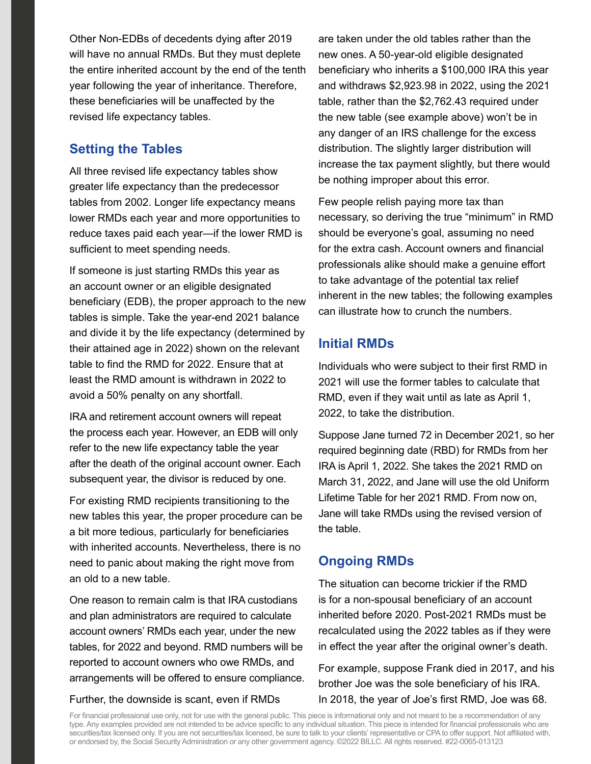Other Non-EDBs of decedents dying after 2019 will have no annual RMDs. But they must deplete the entire inherited account by the end of the tenth year following the year of inheritance. Therefore, these beneficiaries will be unaffected by the revised life expectancy tables.

### **Setting the Tables**

All three revised life expectancy tables show greater life expectancy than the predecessor tables from 2002. Longer life expectancy means lower RMDs each year and more opportunities to reduce taxes paid each year—if the lower RMD is sufficient to meet spending needs.

If someone is just starting RMDs this year as an account owner or an eligible designated beneficiary (EDB), the proper approach to the new tables is simple. Take the year-end 2021 balance and divide it by the life expectancy (determined by their attained age in 2022) shown on the relevant table to find the RMD for 2022. Ensure that at least the RMD amount is withdrawn in 2022 to avoid a 50% penalty on any shortfall.

IRA and retirement account owners will repeat the process each year. However, an EDB will only refer to the new life expectancy table the year after the death of the original account owner. Each subsequent year, the divisor is reduced by one.

For existing RMD recipients transitioning to the new tables this year, the proper procedure can be a bit more tedious, particularly for beneficiaries with inherited accounts. Nevertheless, there is no need to panic about making the right move from an old to a new table.

One reason to remain calm is that IRA custodians and plan administrators are required to calculate account owners' RMDs each year, under the new tables, for 2022 and beyond. RMD numbers will be reported to account owners who owe RMDs, and arrangements will be offered to ensure compliance.

Further, the downside is scant, even if RMDs

are taken under the old tables rather than the new ones. A 50-year-old eligible designated beneficiary who inherits a \$100,000 IRA this year and withdraws \$2,923.98 in 2022, using the 2021 table, rather than the \$2,762.43 required under the new table (see example above) won't be in any danger of an IRS challenge for the excess distribution. The slightly larger distribution will increase the tax payment slightly, but there would be nothing improper about this error.

Few people relish paying more tax than necessary, so deriving the true "minimum" in RMD should be everyone's goal, assuming no need for the extra cash. Account owners and financial professionals alike should make a genuine effort to take advantage of the potential tax relief inherent in the new tables; the following examples can illustrate how to crunch the numbers.

## **Initial RMDs**

Individuals who were subject to their first RMD in 2021 will use the former tables to calculate that RMD, even if they wait until as late as April 1, 2022, to take the distribution.

Suppose Jane turned 72 in December 2021, so her required beginning date (RBD) for RMDs from her IRA is April 1, 2022. She takes the 2021 RMD on March 31, 2022, and Jane will use the old Uniform Lifetime Table for her 2021 RMD. From now on, Jane will take RMDs using the revised version of the table.

# **Ongoing RMDs**

The situation can become trickier if the RMD is for a non-spousal beneficiary of an account inherited before 2020. Post-2021 RMDs must be recalculated using the 2022 tables as if they were in effect the year after the original owner's death.

For example, suppose Frank died in 2017, and his brother Joe was the sole beneficiary of his IRA. In 2018, the year of Joe's first RMD, Joe was 68.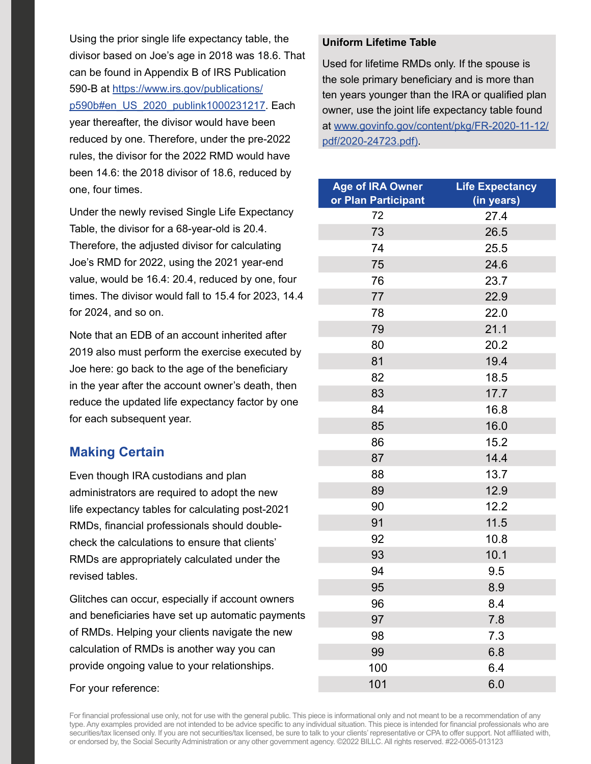Using the prior single life expectancy table, the divisor based on Joe's age in 2018 was 18.6. That can be found in Appendix B of IRS Publication 590-B at https://www.irs.gov/publications/ p590b#en\_US\_2020\_publink1000231217. Each year thereafter, the divisor would have been reduced by one. Therefore, under the pre-2022 rules, the divisor for the 2022 RMD would have been 14.6: the 2018 divisor of 18.6, reduced by one, four times.

Under the newly revised Single Life Expectancy Table, the divisor for a 68-year-old is 20.4. Therefore, the adjusted divisor for calculating Joe's RMD for 2022, using the 2021 year-end value, would be 16.4: 20.4, reduced by one, four times. The divisor would fall to 15.4 for 2023, 14.4 for 2024, and so on.

Note that an EDB of an account inherited after 2019 also must perform the exercise executed by Joe here: go back to the age of the beneficiary in the year after the account owner's death, then reduce the updated life expectancy factor by one for each subsequent year.

### **Making Certain**

Even though IRA custodians and plan administrators are required to adopt the new life expectancy tables for calculating post-2021 RMDs, financial professionals should doublecheck the calculations to ensure that clients' RMDs are appropriately calculated under the revised tables.

Glitches can occur, especially if account owners and beneficiaries have set up automatic payments of RMDs. Helping your clients navigate the new calculation of RMDs is another way you can provide ongoing value to your relationships.

### For your reference:

#### **Uniform Lifetime Table**

Used for lifetime RMDs only. If the spouse is the sole primary beneficiary and is more than ten years younger than the IRA or qualified plan owner, use the joint life expectancy table found at www.govinfo.gov/content/pkg/FR-2020-11-12/ pdf/2020-24723.pdf).

| <b>Age of IRA Owner</b><br>or Plan Participant | <b>Life Expectancy</b><br>(in years) |  |  |
|------------------------------------------------|--------------------------------------|--|--|
| 72                                             | 27.4                                 |  |  |
| 73                                             | 26.5                                 |  |  |
| 74                                             | 25.5                                 |  |  |
| 75                                             | 24.6                                 |  |  |
| 76                                             | 23.7                                 |  |  |
| 77                                             | 22.9                                 |  |  |
| 78                                             | 22.0                                 |  |  |
| 79                                             | 21.1                                 |  |  |
| 80                                             | 20.2                                 |  |  |
| 81                                             | 19.4                                 |  |  |
| 82                                             | 18.5                                 |  |  |
| 83                                             | 17.7                                 |  |  |
| 84                                             | 16.8                                 |  |  |
| 85                                             | 16.0                                 |  |  |
| 86                                             | 15.2                                 |  |  |
| 87                                             | 14.4                                 |  |  |
| 88                                             | 13.7                                 |  |  |
| 89                                             | 12.9                                 |  |  |
| 90                                             | 12.2                                 |  |  |
| 91                                             | 11.5                                 |  |  |
| 92                                             | 10.8                                 |  |  |
| 93                                             | 10.1                                 |  |  |
| 94                                             | 9.5                                  |  |  |
| 95                                             | 8.9                                  |  |  |
| 96                                             | 8.4                                  |  |  |
| 97                                             | 7.8                                  |  |  |
| 98                                             | 7.3                                  |  |  |
| 99                                             | 6.8                                  |  |  |
| 100                                            | 6.4                                  |  |  |
| 101                                            | 6.0                                  |  |  |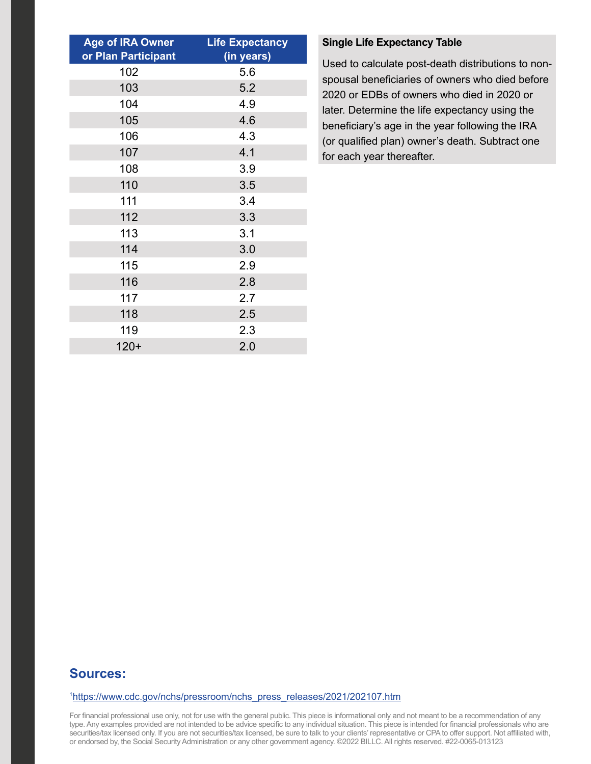| <b>Age of IRA Owner</b><br>or Plan Participant | <b>Life Expectancy</b><br>(in years) |
|------------------------------------------------|--------------------------------------|
| 102                                            | 5.6                                  |
| 103                                            | 5.2                                  |
| 104                                            | 4.9                                  |
| 105                                            | 4.6                                  |
| 106                                            | 4.3                                  |
| 107                                            | 4.1                                  |
| 108                                            | 3.9                                  |
| 110                                            | 3.5                                  |
| 111                                            | 3.4                                  |
| 112                                            | 3.3                                  |
| 113                                            | 3.1                                  |
| 114                                            | 3.0                                  |
| 115                                            | 2.9                                  |
| 116                                            | 2.8                                  |
| 117                                            | 2.7                                  |
| 118                                            | 2.5                                  |
| 119                                            | 2.3                                  |
| $120+$                                         | 2.0                                  |

### **Single Life Expectancy Table**

Used to calculate post-death distributions to nonspousal beneficiaries of owners who died before 2020 or EDBs of owners who died in 2020 or later. Determine the life expectancy using the beneficiary's age in the year following the IRA (or qualified plan) owner's death. Subtract one for each year thereafter.

# **Sources:**

#### 1 https://www.cdc.gov/nchs/pressroom/nchs\_press\_releases/2021/202107.htm